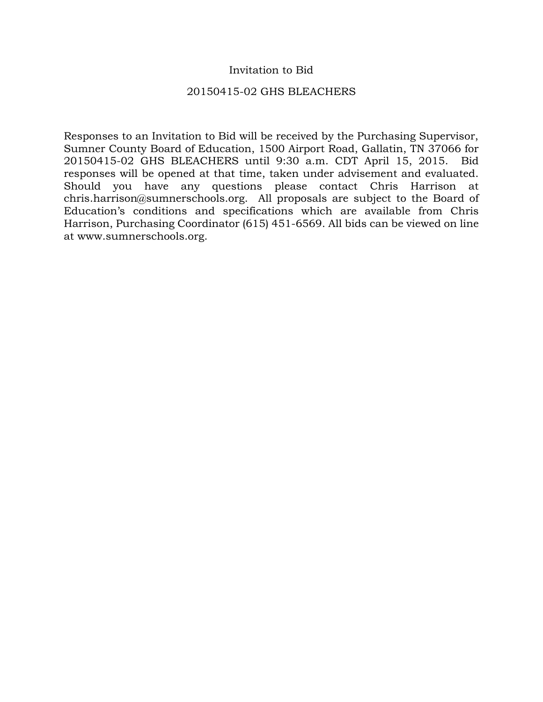## Invitation to Bid

## 20150415-02 GHS BLEACHERS

Responses to an Invitation to Bid will be received by the Purchasing Supervisor, Sumner County Board of Education, 1500 Airport Road, Gallatin, TN 37066 for 20150415-02 GHS BLEACHERS until 9:30 a.m. CDT April 15, 2015. Bid responses will be opened at that time, taken under advisement and evaluated. Should you have any questions please contact Chris Harrison at chris.harrison@sumnerschools.org. All proposals are subject to the Board of Education's conditions and specifications which are available from Chris Harrison, Purchasing Coordinator (615) 451-6569. All bids can be viewed on line at www.sumnerschools.org.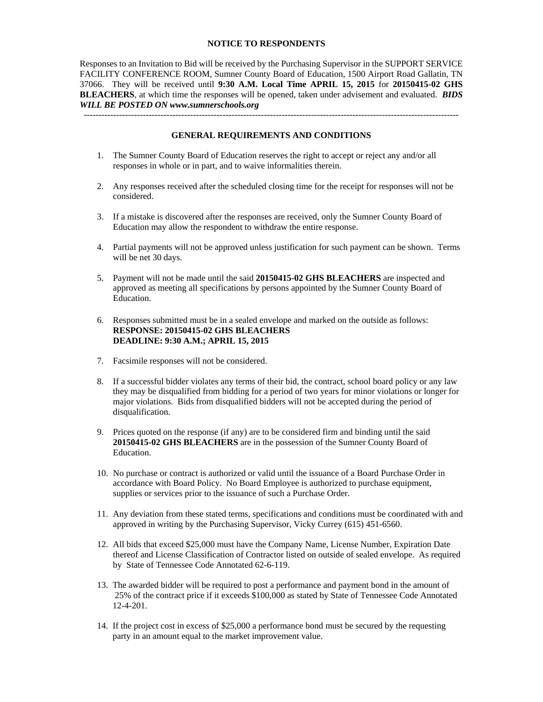#### **NOTICE TO RESPONDENTS**

Responses to an Invitation to Bid will be received by the Purchasing Supervisor in the SUPPORT SERVICE FACILITY CONFERENCE ROOM, Sumner County Board of Education, 1500 Airport Road Gallatin, TN 37066. They will be received until **9:30 A.M. Local Time APRIL 15, 2015** for **20150415-02 GHS BLEACHERS**, at which time the responses will be opened, taken under advisement and evaluated. *BIDS WILL BE POSTED ON www.sumnerschools.org* 

**GENERAL REQUIREMENTS AND CONDITIONS** 

-------------------------------------------------------------------------------------------------------------------------------

- 1. The Sumner County Board of Education reserves the right to accept or reject any and/or all responses in whole or in part, and to waive informalities therein.
- 2. Any responses received after the scheduled closing time for the receipt for responses will not be considered.
- 3. If a mistake is discovered after the responses are received, only the Sumner County Board of Education may allow the respondent to withdraw the entire response.
- 4. Partial payments will not be approved unless justification for such payment can be shown. Terms will be net 30 days.
- 5. Payment will not be made until the said **20150415-02 GHS BLEACHERS** are inspected and approved as meeting all specifications by persons appointed by the Sumner County Board of Education.
- 6. Responses submitted must be in a sealed envelope and marked on the outside as follows: **RESPONSE: 20150415-02 GHS BLEACHERS DEADLINE: 9:30 A.M.; APRIL 15, 2015**
- 7. Facsimile responses will not be considered.
- 8. If a successful bidder violates any terms of their bid, the contract, school board policy or any law they may be disqualified from bidding for a period of two years for minor violations or longer for major violations. Bids from disqualified bidders will not be accepted during the period of disqualification.
- 9. Prices quoted on the response (if any) are to be considered firm and binding until the said **20150415-02 GHS BLEACHERS** are in the possession of the Sumner County Board of Education.
- 10. No purchase or contract is authorized or valid until the issuance of a Board Purchase Order in accordance with Board Policy. No Board Employee is authorized to purchase equipment, supplies or services prior to the issuance of such a Purchase Order.
- 11. Any deviation from these stated terms, specifications and conditions must be coordinated with and approved in writing by the Purchasing Supervisor, Vicky Currey (615) 451-6560.
- 12. All bids that exceed \$25,000 must have the Company Name, License Number, Expiration Date thereof and License Classification of Contractor listed on outside of sealed envelope. As required by State of Tennessee Code Annotated 62-6-119.
- 13. The awarded bidder will be required to post a performance and payment bond in the amount of 25% of the contract price if it exceeds \$100,000 as stated by State of Tennessee Code Annotated 12-4-201.
- 14. If the project cost in excess of \$25,000 a performance bond must be secured by the requesting party in an amount equal to the market improvement value.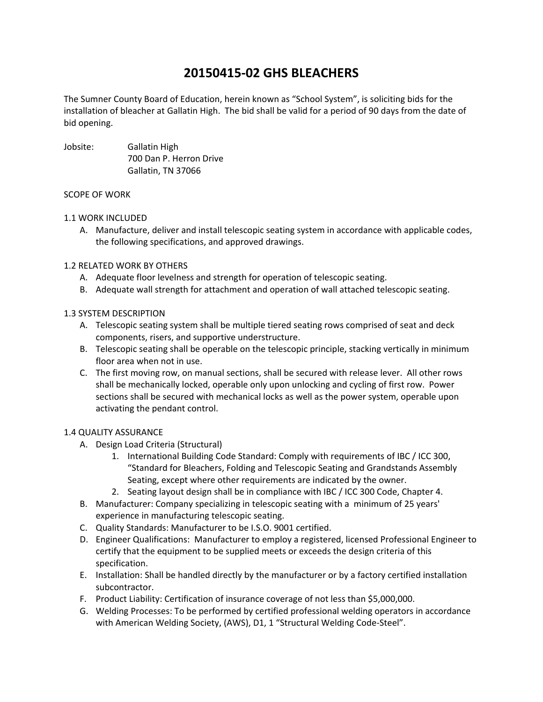# **20150415‐02 GHS BLEACHERS**

The Sumner County Board of Education, herein known as "School System", is soliciting bids for the installation of bleacher at Gallatin High. The bid shall be valid for a period of 90 days from the date of bid opening.

Jobsite: Gallatin High 700 Dan P. Herron Drive Gallatin, TN 37066

#### SCOPE OF WORK

#### 1.1 WORK INCLUDED

A. Manufacture, deliver and install telescopic seating system in accordance with applicable codes, the following specifications, and approved drawings.

## 1.2 RELATED WORK BY OTHERS

- A. Adequate floor levelness and strength for operation of telescopic seating.
- B. Adequate wall strength for attachment and operation of wall attached telescopic seating.

## 1.3 SYSTEM DESCRIPTION

- A. Telescopic seating system shall be multiple tiered seating rows comprised of seat and deck components, risers, and supportive understructure.
- B. Telescopic seating shall be operable on the telescopic principle, stacking vertically in minimum floor area when not in use.
- C. The first moving row, on manual sections, shall be secured with release lever. All other rows shall be mechanically locked, operable only upon unlocking and cycling of first row. Power sections shall be secured with mechanical locks as well as the power system, operable upon activating the pendant control.

#### 1.4 QUALITY ASSURANCE

- A. Design Load Criteria (Structural)
	- 1. International Building Code Standard: Comply with requirements of IBC / ICC 300, "Standard for Bleachers, Folding and Telescopic Seating and Grandstands Assembly Seating, except where other requirements are indicated by the owner.
	- 2. Seating layout design shall be in compliance with IBC / ICC 300 Code, Chapter 4.
- B. Manufacturer: Company specializing in telescopic seating with a minimum of 25 years' experience in manufacturing telescopic seating.
- C. Quality Standards: Manufacturer to be I.S.O. 9001 certified.
- D. Engineer Qualifications: Manufacturer to employ a registered, licensed Professional Engineer to certify that the equipment to be supplied meets or exceeds the design criteria of this specification.
- E. Installation: Shall be handled directly by the manufacturer or by a factory certified installation subcontractor.
- F. Product Liability: Certification of insurance coverage of not less than \$5,000,000.
- G. Welding Processes: To be performed by certified professional welding operators in accordance with American Welding Society, (AWS), D1, 1 "Structural Welding Code-Steel".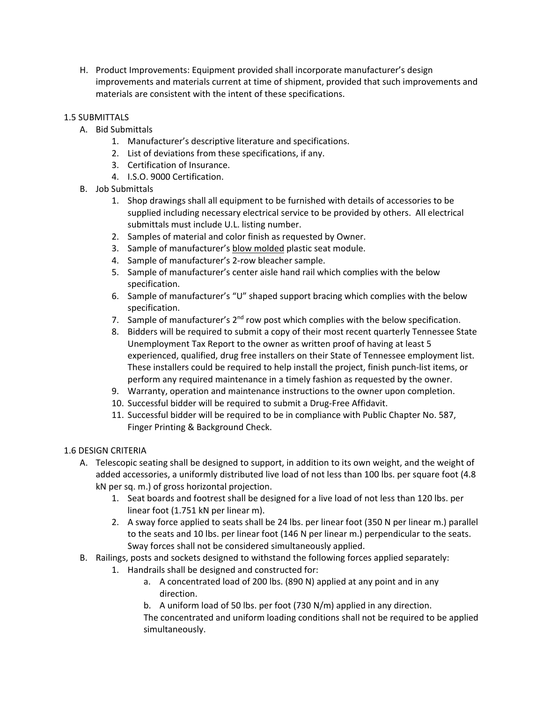H. Product Improvements: Equipment provided shall incorporate manufacturer's design improvements and materials current at time of shipment, provided that such improvements and materials are consistent with the intent of these specifications.

## 1.5 SUBMITTALS

- A. Bid Submittals
	- 1. Manufacturer's descriptive literature and specifications.
	- 2. List of deviations from these specifications, if any.
	- 3. Certification of Insurance.
	- 4. I.S.O. 9000 Certification.
- B. Job Submittals
	- 1. Shop drawings shall all equipment to be furnished with details of accessories to be supplied including necessary electrical service to be provided by others. All electrical submittals must include U.L. listing number.
	- 2. Samples of material and color finish as requested by Owner.
	- 3. Sample of manufacturer's blow molded plastic seat module.
	- 4. Sample of manufacturer's 2‐row bleacher sample.
	- 5. Sample of manufacturer's center aisle hand rail which complies with the below specification.
	- 6. Sample of manufacturer's "U" shaped support bracing which complies with the below specification.
	- 7. Sample of manufacturer's  $2<sup>nd</sup>$  row post which complies with the below specification.
	- 8. Bidders will be required to submit a copy of their most recent quarterly Tennessee State Unemployment Tax Report to the owner as written proof of having at least 5 experienced, qualified, drug free installers on their State of Tennessee employment list. These installers could be required to help install the project, finish punch‐list items, or perform any required maintenance in a timely fashion as requested by the owner.
	- 9. Warranty, operation and maintenance instructions to the owner upon completion.
	- 10. Successful bidder will be required to submit a Drug‐Free Affidavit.
	- 11. Successful bidder will be required to be in compliance with Public Chapter No. 587, Finger Printing & Background Check.

## 1.6 DESIGN CRITERIA

- A. Telescopic seating shall be designed to support, in addition to its own weight, and the weight of added accessories, a uniformly distributed live load of not less than 100 lbs. per square foot (4.8 kN per sq. m.) of gross horizontal projection.
	- 1. Seat boards and footrest shall be designed for a live load of not less than 120 lbs. per linear foot (1.751 kN per linear m).
	- 2. A sway force applied to seats shall be 24 lbs. per linear foot (350 N per linear m.) parallel to the seats and 10 lbs. per linear foot (146 N per linear m.) perpendicular to the seats. Sway forces shall not be considered simultaneously applied.
- B. Railings, posts and sockets designed to withstand the following forces applied separately:
	- 1. Handrails shall be designed and constructed for:
		- a. A concentrated load of 200 lbs. (890 N) applied at any point and in any direction.
		- b. A uniform load of 50 lbs. per foot (730 N/m) applied in any direction.

The concentrated and uniform loading conditions shall not be required to be applied simultaneously.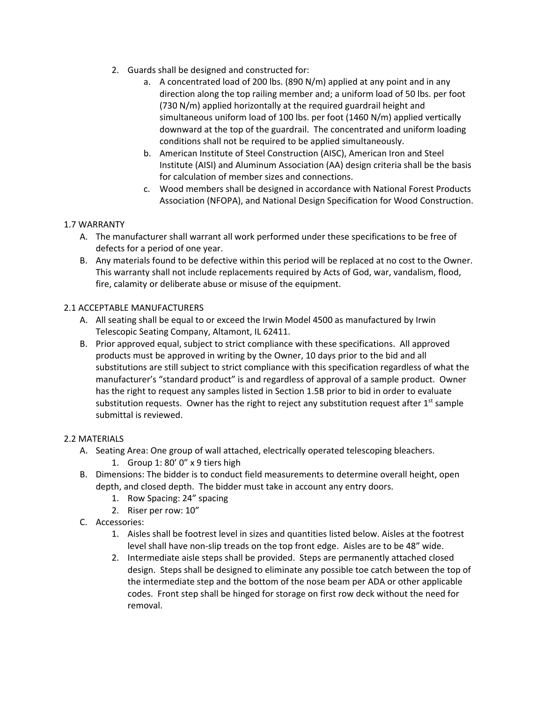- 2. Guards shall be designed and constructed for:
	- a. A concentrated load of 200 lbs. (890 N/m) applied at any point and in any direction along the top railing member and; a uniform load of 50 lbs. per foot (730 N/m) applied horizontally at the required guardrail height and simultaneous uniform load of 100 lbs. per foot (1460 N/m) applied vertically downward at the top of the guardrail. The concentrated and uniform loading conditions shall not be required to be applied simultaneously.
	- b. American Institute of Steel Construction (AISC), American Iron and Steel Institute (AISI) and Aluminum Association (AA) design criteria shall be the basis for calculation of member sizes and connections.
	- c. Wood members shall be designed in accordance with National Forest Products Association (NFOPA), and National Design Specification for Wood Construction.

## 1.7 WARRANTY

- A. The manufacturer shall warrant all work performed under these specifications to be free of defects for a period of one year.
- B. Any materials found to be defective within this period will be replaced at no cost to the Owner. This warranty shall not include replacements required by Acts of God, war, vandalism, flood, fire, calamity or deliberate abuse or misuse of the equipment.

## 2.1 ACCEPTABLE MANUFACTURERS

- A. All seating shall be equal to or exceed the Irwin Model 4500 as manufactured by Irwin Telescopic Seating Company, Altamont, IL 62411.
- B. Prior approved equal, subject to strict compliance with these specifications. All approved products must be approved in writing by the Owner, 10 days prior to the bid and all substitutions are still subject to strict compliance with this specification regardless of what the manufacturer's "standard product" is and regardless of approval of a sample product. Owner has the right to request any samples listed in Section 1.5B prior to bid in order to evaluate substitution requests. Owner has the right to reject any substitution request after  $1<sup>st</sup>$  sample submittal is reviewed.

## 2.2 MATERIALS

- A. Seating Area: One group of wall attached, electrically operated telescoping bleachers.
	- 1. Group 1: 80' 0" x 9 tiers high
- B. Dimensions: The bidder is to conduct field measurements to determine overall height, open depth, and closed depth. The bidder must take in account any entry doors.
	- 1. Row Spacing: 24" spacing
	- 2. Riser per row: 10"
- C. Accessories:
	- 1. Aisles shall be footrest level in sizes and quantities listed below. Aisles at the footrest level shall have non-slip treads on the top front edge. Aisles are to be 48" wide.
	- 2. Intermediate aisle steps shall be provided. Steps are permanently attached closed design. Steps shall be designed to eliminate any possible toe catch between the top of the intermediate step and the bottom of the nose beam per ADA or other applicable codes. Front step shall be hinged for storage on first row deck without the need for removal.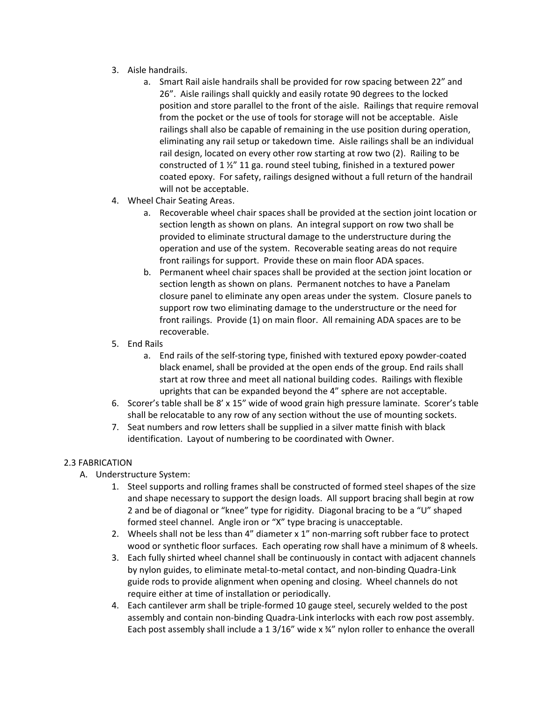- 3. Aisle handrails.
	- a. Smart Rail aisle handrails shall be provided for row spacing between 22" and 26". Aisle railings shall quickly and easily rotate 90 degrees to the locked position and store parallel to the front of the aisle. Railings that require removal from the pocket or the use of tools for storage will not be acceptable. Aisle railings shall also be capable of remaining in the use position during operation, eliminating any rail setup or takedown time. Aisle railings shall be an individual rail design, located on every other row starting at row two (2). Railing to be constructed of 1 ½" 11 ga. round steel tubing, finished in a textured power coated epoxy. For safety, railings designed without a full return of the handrail will not be acceptable.
- 4. Wheel Chair Seating Areas.
	- a. Recoverable wheel chair spaces shall be provided at the section joint location or section length as shown on plans. An integral support on row two shall be provided to eliminate structural damage to the understructure during the operation and use of the system. Recoverable seating areas do not require front railings for support. Provide these on main floor ADA spaces.
	- b. Permanent wheel chair spaces shall be provided at the section joint location or section length as shown on plans. Permanent notches to have a Panelam closure panel to eliminate any open areas under the system. Closure panels to support row two eliminating damage to the understructure or the need for front railings. Provide (1) on main floor. All remaining ADA spaces are to be recoverable.
- 5. End Rails
	- a. End rails of the self‐storing type, finished with textured epoxy powder‐coated black enamel, shall be provided at the open ends of the group. End rails shall start at row three and meet all national building codes. Railings with flexible uprights that can be expanded beyond the 4" sphere are not acceptable.
- 6. Scorer's table shall be 8' x 15" wide of wood grain high pressure laminate. Scorer's table shall be relocatable to any row of any section without the use of mounting sockets.
- 7. Seat numbers and row letters shall be supplied in a silver matte finish with black identification. Layout of numbering to be coordinated with Owner.

#### 2.3 FABRICATION

- A. Understructure System:
	- 1. Steel supports and rolling frames shall be constructed of formed steel shapes of the size and shape necessary to support the design loads. All support bracing shall begin at row 2 and be of diagonal or "knee" type for rigidity. Diagonal bracing to be a "U" shaped formed steel channel. Angle iron or "X" type bracing is unacceptable.
	- 2. Wheels shall not be less than  $4$ " diameter x  $1$ " non-marring soft rubber face to protect wood or synthetic floor surfaces. Each operating row shall have a minimum of 8 wheels.
	- 3. Each fully shirted wheel channel shall be continuously in contact with adjacent channels by nylon guides, to eliminate metal-to-metal contact, and non-binding Quadra-Link guide rods to provide alignment when opening and closing. Wheel channels do not require either at time of installation or periodically.
	- 4. Each cantilever arm shall be triple‐formed 10 gauge steel, securely welded to the post assembly and contain non‐binding Quadra‐Link interlocks with each row post assembly. Each post assembly shall include a 1 3/16" wide  $x$   $\frac{3}{4}$ " nylon roller to enhance the overall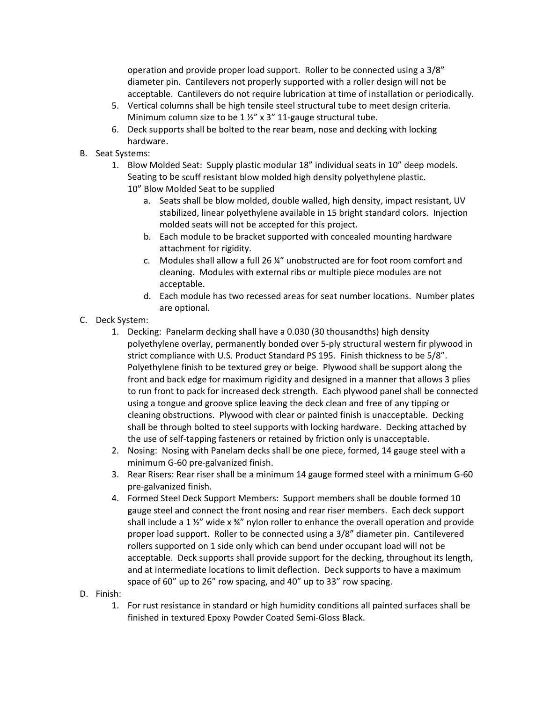operation and provide proper load support. Roller to be connected using a 3/8" diameter pin. Cantilevers not properly supported with a roller design will not be acceptable. Cantilevers do not require lubrication at time of installation or periodically.

- 5. Vertical columns shall be high tensile steel structural tube to meet design criteria. Minimum column size to be 1 %" x 3" 11-gauge structural tube.
- 6. Deck supports shall be bolted to the rear beam, nose and decking with locking hardware.
- B. Seat Systems:
	- 1. Blow Molded Seat: Supply plastic modular 18" individual seats in 10" deep models. Seating to be scuff resistant blow molded high density polyethylene plastic. 10" Blow Molded Seat to be supplied
		- a. Seats shall be blow molded, double walled, high density, impact resistant, UV stabilized, linear polyethylene available in 15 bright standard colors. Injection molded seats will not be accepted for this project.
		- b. Each module to be bracket supported with concealed mounting hardware attachment for rigidity.
		- c. Modules shall allow a full 26 ¼" unobstructed are for foot room comfort and cleaning. Modules with external ribs or multiple piece modules are not acceptable.
		- d. Each module has two recessed areas for seat number locations. Number plates are optional.
- C. Deck System:
	- 1. Decking: Panelarm decking shall have a 0.030 (30 thousandths) high density polyethylene overlay, permanently bonded over 5‐ply structural western fir plywood in strict compliance with U.S. Product Standard PS 195. Finish thickness to be 5/8". Polyethylene finish to be textured grey or beige. Plywood shall be support along the front and back edge for maximum rigidity and designed in a manner that allows 3 plies to run front to pack for increased deck strength. Each plywood panel shall be connected using a tongue and groove splice leaving the deck clean and free of any tipping or cleaning obstructions. Plywood with clear or painted finish is unacceptable. Decking shall be through bolted to steel supports with locking hardware. Decking attached by the use of self-tapping fasteners or retained by friction only is unacceptable.
	- 2. Nosing: Nosing with Panelam decks shall be one piece, formed, 14 gauge steel with a minimum G‐60 pre‐galvanized finish.
	- 3. Rear Risers: Rear riser shall be a minimum 14 gauge formed steel with a minimum G‐60 pre‐galvanized finish.
	- 4. Formed Steel Deck Support Members: Support members shall be double formed 10 gauge steel and connect the front nosing and rear riser members. Each deck support shall include a 1  $\frac{1}{2}$  wide x  $\frac{3}{4}$ " nylon roller to enhance the overall operation and provide proper load support. Roller to be connected using a 3/8" diameter pin. Cantilevered rollers supported on 1 side only which can bend under occupant load will not be acceptable. Deck supports shall provide support for the decking, throughout its length, and at intermediate locations to limit deflection. Deck supports to have a maximum space of 60" up to 26" row spacing, and 40" up to 33" row spacing.
- D. Finish:
	- 1. For rust resistance in standard or high humidity conditions all painted surfaces shall be finished in textured Epoxy Powder Coated Semi‐Gloss Black.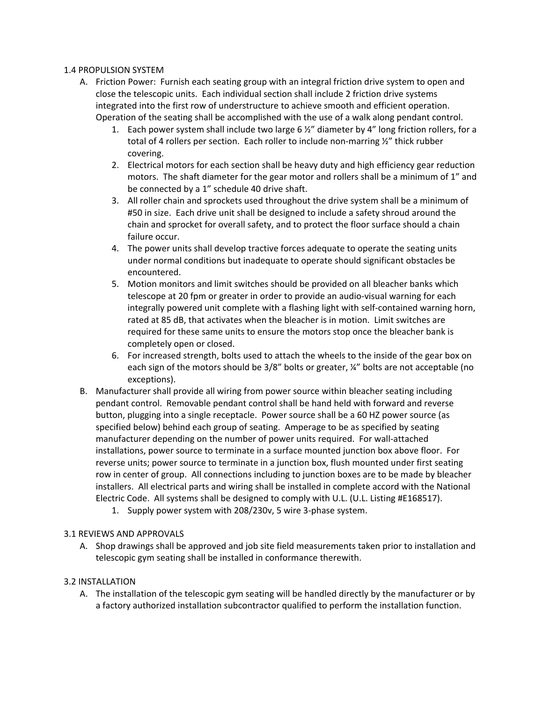#### 1.4 PROPULSION SYSTEM

- A. Friction Power: Furnish each seating group with an integral friction drive system to open and close the telescopic units. Each individual section shall include 2 friction drive systems integrated into the first row of understructure to achieve smooth and efficient operation. Operation of the seating shall be accomplished with the use of a walk along pendant control.
	- 1. Each power system shall include two large 6  $\frac{1}{2}$ " diameter by 4" long friction rollers, for a total of 4 rollers per section. Each roller to include non-marring %" thick rubber covering.
	- 2. Electrical motors for each section shall be heavy duty and high efficiency gear reduction motors. The shaft diameter for the gear motor and rollers shall be a minimum of 1" and be connected by a 1" schedule 40 drive shaft.
	- 3. All roller chain and sprockets used throughout the drive system shall be a minimum of #50 in size. Each drive unit shall be designed to include a safety shroud around the chain and sprocket for overall safety, and to protect the floor surface should a chain failure occur.
	- 4. The power units shall develop tractive forces adequate to operate the seating units under normal conditions but inadequate to operate should significant obstacles be encountered.
	- 5. Motion monitors and limit switches should be provided on all bleacher banks which telescope at 20 fpm or greater in order to provide an audio‐visual warning for each integrally powered unit complete with a flashing light with self‐contained warning horn, rated at 85 dB, that activates when the bleacher is in motion. Limit switches are required for these same units to ensure the motors stop once the bleacher bank is completely open or closed.
	- 6. For increased strength, bolts used to attach the wheels to the inside of the gear box on each sign of the motors should be 3/8" bolts or greater, ¼" bolts are not acceptable (no exceptions).
- B. Manufacturer shall provide all wiring from power source within bleacher seating including pendant control. Removable pendant control shall be hand held with forward and reverse button, plugging into a single receptacle. Power source shall be a 60 HZ power source (as specified below) behind each group of seating. Amperage to be as specified by seating manufacturer depending on the number of power units required. For wall‐attached installations, power source to terminate in a surface mounted junction box above floor. For reverse units; power source to terminate in a junction box, flush mounted under first seating row in center of group. All connections including to junction boxes are to be made by bleacher installers. All electrical parts and wiring shall be installed in complete accord with the National Electric Code. All systems shall be designed to comply with U.L. (U.L. Listing #E168517).
	- 1. Supply power system with 208/230v, 5 wire 3‐phase system.

## 3.1 REVIEWS AND APPROVALS

A. Shop drawings shall be approved and job site field measurements taken prior to installation and telescopic gym seating shall be installed in conformance therewith.

## 3.2 INSTALLATION

A. The installation of the telescopic gym seating will be handled directly by the manufacturer or by a factory authorized installation subcontractor qualified to perform the installation function.